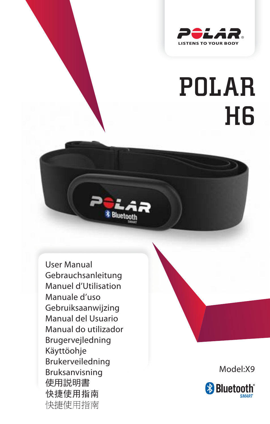

## POLAR H6

User Manual Gebrauchsanleitung Manuel d'Utilisation Manuale d'uso Gebruiksaanwijzing Manual del Usuario Manual do utilizador Brugervejledning Käyttöohje Brukerveiledning Bruksanvisning 使用説明書 快捷使用指南 快捷使用指南

Model:X9

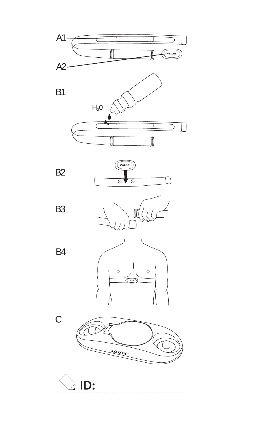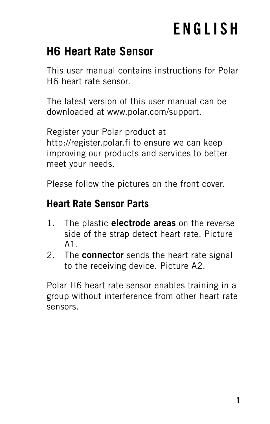## **ENGLISH**

### **H6 Heart Rate Sensor**

This user manual contains instructions for Polar H6 heart rate sensor.

The latest version of this user manual can be downloaded at www.polar.com/support.

Register your Polar product at http://register.polar.fi to ensure we can keep improving our products and services to better meet your needs.

Please follow the pictures on the front cover.

#### **Heart Rate Sensor Parts**

- 1. The plastic **electrode areas** on the reverse side of the strap detect heart rate. Picture A1.
- 2. The **connector** sends the heart rate signal to the receiving device. Picture A2.

Polar H6 heart rate sensor enables training in a group without interference from other heart rate sensors.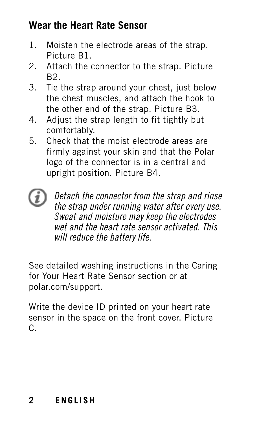#### **Wear the Heart Rate Sensor**

- 1. Moisten the electrode areas of the strap. Picture B1.
- 2. Attach the connector to the strap. Picture B2.
- 3. Tie the strap around your chest, just below the chest muscles, and attach the hook to the other end of the strap. Picture B3.
- 4. Adjust the strap length to fit tightly but comfortably.
- 5. Check that the moist electrode areas are firmly against your skin and that the Polar logo of the connector is in a central and upright position. Picture B4.
- Detach the connector from the strap and rinse the strap under running water after every use. Sweat and moisture may keep the electrodes wet and the heart rate sensor activated. This will reduce the battery life.

See detailed washing instructions in the Caring for Your Heart Rate Sensor section or at polar.com/support.

Write the device ID printed on your heart rate sensor in the space on the front cover. Picture C.

#### **2 ENGLISH**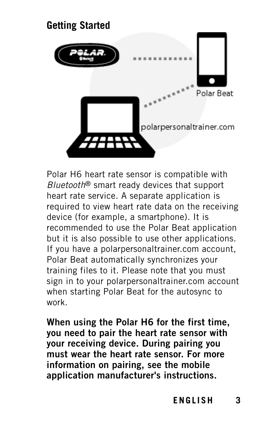# **Getting Started** Polar Reat polarpersonaltrainer.com

Polar H6 heart rate sensor is compatible with Bluetooth® smart ready devices that support heart rate service. A separate application is required to view heart rate data on the receiving device (for example, a smartphone). It is recommended to use the Polar Beat application but it is also possible to use other applications. If you have a polarpersonaltrainer.com account, Polar Beat automatically synchronizes your training files to it. Please note that you must sign in to your polarpersonaltrainer.com account when starting Polar Beat for the autosync to work.

**When using the Polar H6 for the first time, you need to pair the heart rate sensor with your receiving device. During pairing you must wear the heart rate sensor. For more information on pairing, see the mobile application manufacturer's instructions.**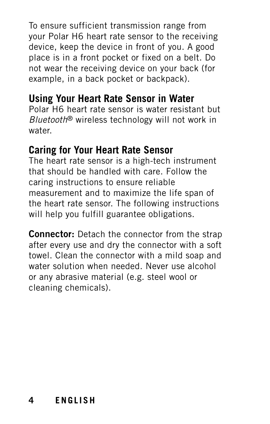To ensure sufficient transmission range from your Polar H6 heart rate sensor to the receiving device, keep the device in front of you. A good place is in a front pocket or fixed on a belt. Do not wear the receiving device on your back (for example, in a back pocket or backpack).

#### **Using Your Heart Rate Sensor in Water**

Polar H6 heart rate sensor is water resistant but Bluetooth® wireless technology will not work in water.

#### **Caring for Your Heart Rate Sensor**

The heart rate sensor is a high-tech instrument that should be handled with care. Follow the caring instructions to ensure reliable measurement and to maximize the life span of the heart rate sensor. The following instructions will help you fulfill guarantee obligations.

**Connector:** Detach the connector from the strap after every use and dry the connector with a soft towel. Clean the connector with a mild soap and water solution when needed. Never use alcohol or any abrasive material (e.g. steel wool or cleaning chemicals).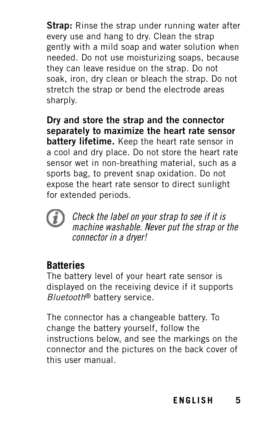**Strap:** Rinse the strap under running water after every use and hang to dry. Clean the strap gently with a mild soap and water solution when needed. Do not use moisturizing soaps, because they can leave residue on the strap. Do not soak, iron, dry clean or bleach the strap. Do not stretch the strap or bend the electrode areas sharply.

**Dry and store the strap and the connector separately to maximize the heart rate sensor battery lifetime.** Keep the heart rate sensor in a cool and dry place. Do not store the heart rate sensor wet in non-breathing material, such as a sports bag, to prevent snap oxidation. Do not expose the heart rate sensor to direct sunlight for extended periods.



Check the label on your strap to see if it is machine washable. Never put the strap or the connector in a dryer!

#### **Batteries**

The battery level of your heart rate sensor is displayed on the receiving device if it supports Bluetooth® battery service.

The connector has a changeable battery. To change the battery yourself, follow the instructions below, and see the markings on the connector and the pictures on the back cover of this user manual.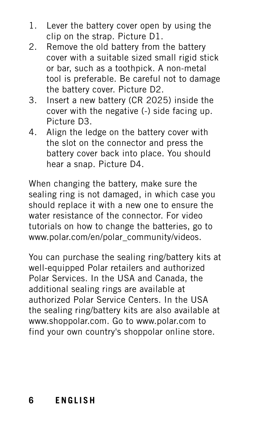- 1. Lever the battery cover open by using the clip on the strap. Picture D1.
- 2. Remove the old battery from the battery cover with a suitable sized small rigid stick or bar, such as a toothpick. A non-metal tool is preferable. Be careful not to damage the battery cover. Picture D2.
- 3. Insert a new battery (CR 2025) inside the cover with the negative (-) side facing up. Picture D3.
- 4. Align the ledge on the battery cover with the slot on the connector and press the battery cover back into place. You should hear a snap. Picture D4.

When changing the battery, make sure the sealing ring is not damaged, in which case you should replace it with a new one to ensure the water resistance of the connector. For video tutorials on how to change the batteries, go to www.polar.com/en/polar\_community/videos.

You can purchase the sealing ring/battery kits at well-equipped Polar retailers and authorized Polar Services. In the USA and Canada, the additional sealing rings are available at authorized Polar Service Centers. In the USA the sealing ring/battery kits are also available at www.shoppolar.com. Go to www.polar.com to find your own country's shoppolar online store.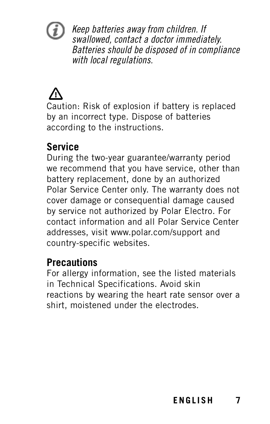

Keep batteries away from children. If swallowed, contact a doctor immediately. Batteries should be disposed of in compliance with local regulations.

Caution: Risk of explosion if battery is replaced by an incorrect type. Dispose of batteries according to the instructions.

#### **Service**

During the two-year guarantee/warranty period we recommend that you have service, other than battery replacement, done by an authorized Polar Service Center only. The warranty does not cover damage or consequential damage caused by service not authorized by Polar Electro. For contact information and all Polar Service Center addresses, visit www.polar.com/support and country-specific websites.

#### **Precautions**

For allergy information, see the listed materials in Technical Specifications. Avoid skin reactions by wearing the heart rate sensor over a shirt, moistened under the electrodes.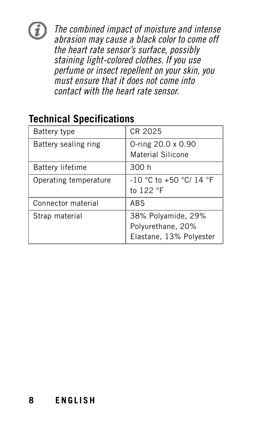## Œ

The combined impact of moisture and intense abrasion may cause a black color to come off the heart rate sensor's surface, possibly staining light-colored clothes. If you use perfume or insect repellent on your skin, you must ensure that it does not come into contact with the heart rate sensor.

#### **Technical Specifications**

| Battery type            | CR 2025                                                            |
|-------------------------|--------------------------------------------------------------------|
| Battery sealing ring    | 0-ring 20.0 x 0.90<br>Material Silicone                            |
| <b>Battery lifetime</b> | 300 h                                                              |
| Operating temperature   | -10 °C to +50 °C/ 14 °F<br>to 122 °F                               |
| Connector material      | ABS                                                                |
| Strap material          | 38% Polyamide, 29%<br>Polyurethane, 20%<br>Elastane, 13% Polyester |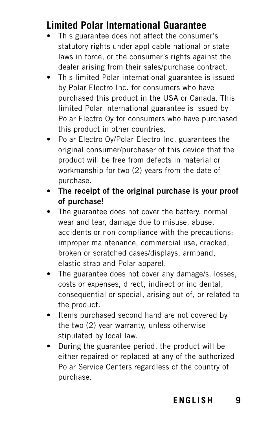#### **Limited Polar International Guarantee**

- This guarantee does not affect the consumer's statutory rights under applicable national or state laws in force, or the consumer's rights against the dealer arising from their sales/purchase contract.
- This limited Polar international guarantee is issued by Polar Electro Inc. for consumers who have purchased this product in the USA or Canada. This limited Polar international guarantee is issued by Polar Electro Oy for consumers who have purchased this product in other countries.
- Polar Electro Oy/Polar Electro Inc. guarantees the original consumer/purchaser of this device that the product will be free from defects in material or workmanship for two (2) years from the date of purchase.
- **The receipt of the original purchase is your proof of purchase!**
- The guarantee does not cover the battery, normal wear and tear, damage due to misuse, abuse, accidents or non-compliance with the precautions; improper maintenance, commercial use, cracked, broken or scratched cases/displays, armband, elastic strap and Polar apparel.
- The guarantee does not cover any damage/s, losses, costs or expenses, direct, indirect or incidental, consequential or special, arising out of, or related to the product.
- Items purchased second hand are not covered by the two (2) year warranty, unless otherwise stipulated by local law.
- During the guarantee period, the product will be either repaired or replaced at any of the authorized Polar Service Centers regardless of the country of purchase.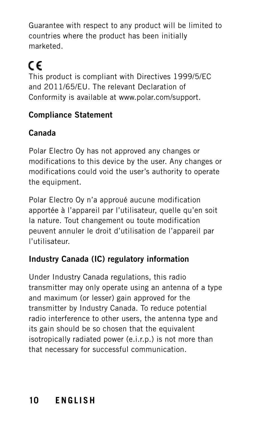Guarantee with respect to any product will be limited to countries where the product has been initially marketed.

#### CE This product is compliant with Directives 1999/5/EC and 2011/65/EU. The relevant Declaration of Conformity is available at www.polar.com/support.

#### **Compliance Statement**

#### **Canada**

Polar Electro Oy has not approved any changes or modifications to this device by the user. Any changes or modifications could void the user's authority to operate the equipment.

Polar Electro Oy n'a approué aucune modification apportée à l'appareil par l'utilisateur, quelle qu'en soit la nature. Tout changement ou toute modification peuvent annuler le droit d'utilisation de l'appareil par l'utilisateur.

#### **Industry Canada (IC) regulatory information**

Under Industry Canada regulations, this radio transmitter may only operate using an antenna of a type and maximum (or lesser) gain approved for the transmitter by Industry Canada. To reduce potential radio interference to other users, the antenna type and its gain should be so chosen that the equivalent isotropically radiated power (e.i.r.p.) is not more than that necessary for successful communication.

#### **10 ENGLISH**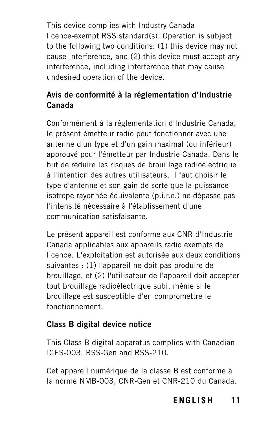This device complies with Industry Canada licence-exempt RSS standard(s). Operation is subject to the following two conditions: (1) this device may not cause interference, and (2) this device must accept any interference, including interference that may cause undesired operation of the device.

#### **Avis de conformité à la réglementation d'Industrie Canada**

Conformément à la réglementation d'Industrie Canada, le présent émetteur radio peut fonctionner avec une antenne d'un type et d'un gain maximal (ou inférieur) approuvé pour l'émetteur par Industrie Canada. Dans le but de réduire les risques de brouillage radioélectrique à l'intention des autres utilisateurs, il faut choisir le type d'antenne et son gain de sorte que la puissance isotrope rayonnée équivalente (p.i.r.e.) ne dépasse pas l'intensité nécessaire à l'établissement d'une communication satisfaisante.

Le présent appareil est conforme aux CNR d'Industrie Canada applicables aux appareils radio exempts de licence. L'exploitation est autorisée aux deux conditions suivantes : (1) l'appareil ne doit pas produire de brouillage, et (2) l'utilisateur de l'appareil doit accepter tout brouillage radioélectrique subi, même si le brouillage est susceptible d'en compromettre le fonctionnement.

#### **Class B digital device notice**

This Class B digital apparatus complies with Canadian ICES-003, RSS-Gen and RSS-210.

Cet appareil numérique de la classe B est conforme à la norme NMB-003, CNR-Gen et CNR-210 du Canada.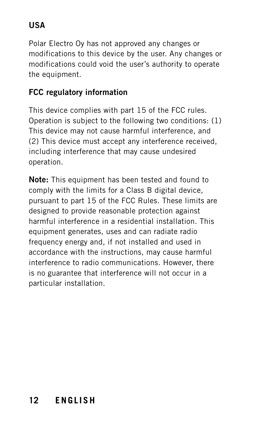#### **USA**

Polar Electro Oy has not approved any changes or modifications to this device by the user. Any changes or modifications could void the user's authority to operate the equipment.

#### **FCC regulatory information**

This device complies with part 15 of the FCC rules. Operation is subject to the following two conditions: (1) This device may not cause harmful interference, and (2) This device must accept any interference received, including interference that may cause undesired operation.

**Note:** This equipment has been tested and found to comply with the limits for a Class B digital device, pursuant to part 15 of the FCC Rules. These limits are designed to provide reasonable protection against harmful interference in a residential installation. This equipment generates, uses and can radiate radio frequency energy and, if not installed and used in accordance with the instructions, may cause harmful interference to radio communications. However, there is no guarantee that interference will not occur in a particular installation.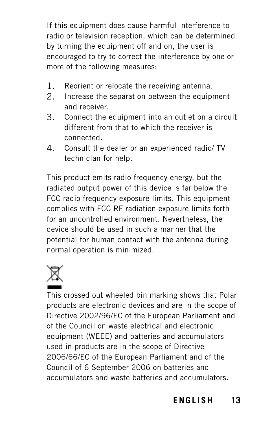If this equipment does cause harmful interference to radio or television reception, which can be determined by turning the equipment off and on, the user is encouraged to try to correct the interference by one or more of the following measures:

- 1. Reorient or relocate the receiving antenna.
- 2. Increase the separation between the equipment and receiver.
- 3. Connect the equipment into an outlet on a circuit different from that to which the receiver is connected.
- 4. Consult the dealer or an experienced radio/ TV technician for help.

This product emits radio frequency energy, but the radiated output power of this device is far below the FCC radio frequency exposure limits. This equipment complies with FCC RF radiation exposure limits forth for an uncontrolled environment. Nevertheless, the device should be used in such a manner that the potential for human contact with the antenna during normal operation is minimized.



This crossed out wheeled bin marking shows that Polar products are electronic devices and are in the scope of Directive 2002/96/EC of the European Parliament and of the Council on waste electrical and electronic equipment (WEEE) and batteries and accumulators used in products are in the scope of Directive 2006/66/EC of the European Parliament and of the Council of 6 September 2006 on batteries and accumulators and waste batteries and accumulators.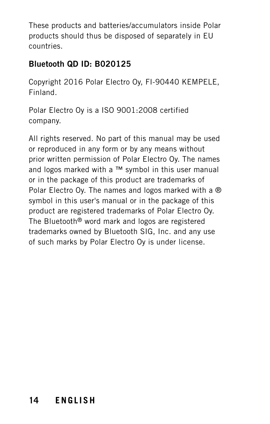These products and batteries/accumulators inside Polar products should thus be disposed of separately in EU countries.

#### **Bluetooth QD ID: B020125**

Copyright 2016 Polar Electro Oy, FI-90440 KEMPELE, Finland.

Polar Electro Oy is a ISO 9001:2008 certified company.

All rights reserved. No part of this manual may be used or reproduced in any form or by any means without prior written permission of Polar Electro Oy. The names and logos marked with a ™ symbol in this user manual or in the package of this product are trademarks of Polar Electro Oy. The names and logos marked with a ® symbol in this user's manual or in the package of this product are registered trademarks of Polar Electro Oy. The Bluetooth® word mark and logos are registered trademarks owned by Bluetooth SIG, Inc. and any use of such marks by Polar Electro Oy is under license.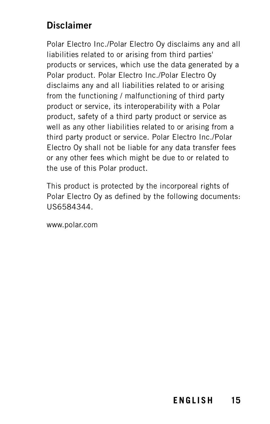#### **Disclaimer**

Polar Electro Inc./Polar Electro Oy disclaims any and all liabilities related to or arising from third parties' products or services, which use the data generated by a Polar product. Polar Electro Inc./Polar Electro Oy disclaims any and all liabilities related to or arising from the functioning / malfunctioning of third party product or service, its interoperability with a Polar product, safety of a third party product or service as well as any other liabilities related to or arising from a third party product or service. Polar Electro Inc./Polar Electro Oy shall not be liable for any data transfer fees or any other fees which might be due to or related to the use of this Polar product.

This product is protected by the incorporeal rights of Polar Electro Oy as defined by the following documents: US6584344.

www.polar.com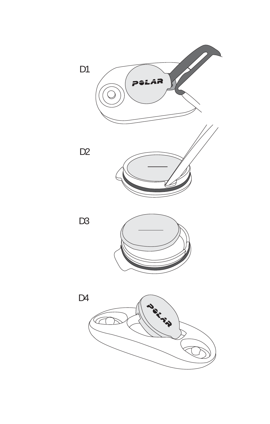